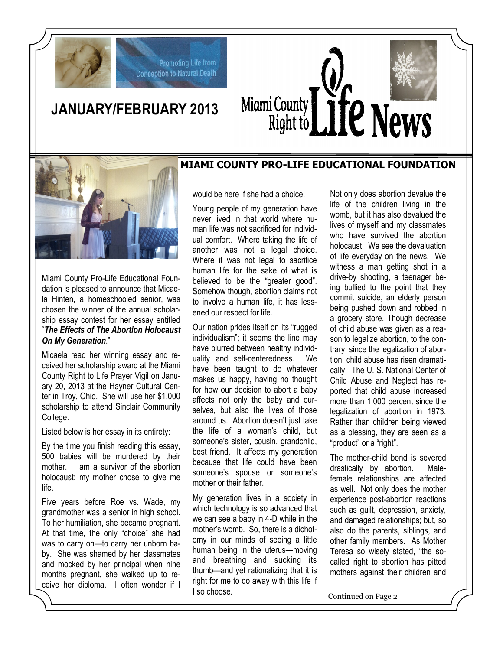

# **JANUARY/FEBRUARY 2013**

Promoting Life from **Conception to Natural Death** 



#### **MIAMI COUNTY PRO-LIFE EDUCATIONAL FOUNDATION**



Miami County Pro-Life Educational Foundation is pleased to announce that Micaela Hinten, a homeschooled senior, was chosen the winner of the annual scholarship essay contest for her essay entitled "*The Effects of The Abortion Holocaust On My Generation*."

Micaela read her winning essay and received her scholarship award at the Miami County Right to Life Prayer Vigil on January 20, 2013 at the Hayner Cultural Center in Troy, Ohio. She will use her \$1,000 scholarship to attend Sinclair Community College.

Listed below is her essay in its entirety:

By the time you finish reading this essay, 500 babies will be murdered by their mother. I am a survivor of the abortion holocaust; my mother chose to give me life.

Five years before Roe vs. Wade, my grandmother was a senior in high school. To her humiliation, she became pregnant. At that time, the only "choice" she had was to carry on—to carry her unborn baby. She was shamed by her classmates and mocked by her principal when nine months pregnant, she walked up to receive her diploma. I often wonder if I would be here if she had a choice.

Young people of my generation have never lived in that world where human life was not sacrificed for individual comfort. Where taking the life of another was not a legal choice. Where it was not legal to sacrifice human life for the sake of what is believed to be the "greater good". Somehow though, abortion claims not to involve a human life, it has lessened our respect for life.

Our nation prides itself on its "rugged individualism"; it seems the line may have blurred between healthy individuality and self-centeredness. We have been taught to do whatever makes us happy, having no thought for how our decision to abort a baby affects not only the baby and ourselves, but also the lives of those around us. Abortion doesn't just take the life of a woman's child, but someone's sister, cousin, grandchild, best friend. It affects my generation because that life could have been someone's spouse or someone's mother or their father.

My generation lives in a society in which technology is so advanced that we can see a baby in 4-D while in the mother's womb. So, there is a dichotomy in our minds of seeing a little human being in the uterus—moving and breathing and sucking its thumb—and yet rationalizing that it is right for me to do away with this life if I so choose.

Not only does abortion devalue the life of the children living in the womb, but it has also devalued the lives of myself and my classmates who have survived the abortion holocaust. We see the devaluation of life everyday on the news. We witness a man getting shot in a drive-by shooting, a teenager being bullied to the point that they commit suicide, an elderly person being pushed down and robbed in a grocery store. Though decrease of child abuse was given as a reason to legalize abortion, to the contrary, since the legalization of abortion, child abuse has risen dramatically. The U. S. National Center of Child Abuse and Neglect has reported that child abuse increased more than 1,000 percent since the legalization of abortion in 1973. Rather than children being viewed as a blessing, they are seen as a "product" or a "right".

The mother-child bond is severed drastically by abortion. Malefemale relationships are affected as well. Not only does the mother experience post-abortion reactions such as guilt, depression, anxiety, and damaged relationships; but, so also do the parents, siblings, and other family members. As Mother Teresa so wisely stated, "the socalled right to abortion has pitted mothers against their children and

Continued on Page 2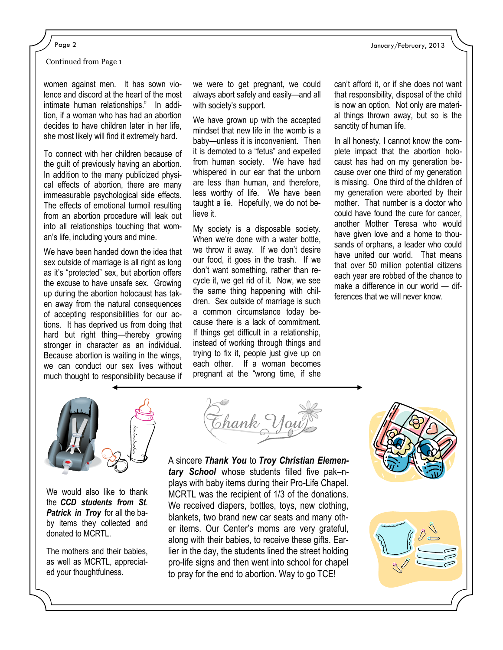Continued from Page 1

women against men. It has sown violence and discord at the heart of the most intimate human relationships." In addition, if a woman who has had an abortion decides to have children later in her life, she most likely will find it extremely hard.

To connect with her children because of the guilt of previously having an abortion. In addition to the many publicized physical effects of abortion, there are many immeasurable psychological side effects. The effects of emotional turmoil resulting from an abortion procedure will leak out into all relationships touching that woman's life, including yours and mine.

We have been handed down the idea that sex outside of marriage is all right as long as it's "protected" sex, but abortion offers the excuse to have unsafe sex. Growing up during the abortion holocaust has taken away from the natural consequences of accepting responsibilities for our actions. It has deprived us from doing that hard but right thing—thereby growing stronger in character as an individual. Because abortion is waiting in the wings, we can conduct our sex lives without much thought to responsibility because if we were to get pregnant, we could always abort safely and easily—and all with society's support.

We have grown up with the accepted mindset that new life in the womb is a baby—unless it is inconvenient. Then it is demoted to a "fetus" and expelled from human society. We have had whispered in our ear that the unborn are less than human, and therefore, less worthy of life. We have been taught a lie. Hopefully, we do not believe it.

My society is a disposable society. When we're done with a water bottle, we throw it away. If we don't desire our food, it goes in the trash. If we don't want something, rather than recycle it, we get rid of it. Now, we see the same thing happening with children. Sex outside of marriage is such a common circumstance today because there is a lack of commitment. If things get difficult in a relationship, instead of working through things and trying to fix it, people just give up on each other. If a woman becomes pregnant at the "wrong time, if she

can't afford it, or if she does not want that responsibility, disposal of the child is now an option. Not only are material things thrown away, but so is the sanctity of human life.

In all honesty, I cannot know the complete impact that the abortion holocaust has had on my generation because over one third of my generation is missing. One third of the children of my generation were aborted by their mother. That number is a doctor who could have found the cure for cancer, another Mother Teresa who would have given love and a home to thousands of orphans, a leader who could have united our world. That means that over 50 million potential citizens each year are robbed of the chance to make a difference in our world — differences that we will never know.



We would also like to thank the *CCD students from St*. *Patrick in Troy* for all the baby items they collected and donated to MCRTL

The mothers and their babies, as well as MCRTL, appreciated your thoughtfulness.



A sincere *Thank You* to *Troy Christian Elementary School* whose students filled five pak–nplays with baby items during their Pro-Life Chapel. MCRTL was the recipient of 1/3 of the donations. We received diapers, bottles, toys, new clothing, blankets, two brand new car seats and many other items. Our Center's moms are very grateful, along with their babies, to receive these gifts. Earlier in the day, the students lined the street holding pro-life signs and then went into school for chapel to pray for the end to abortion. Way to go TCE!

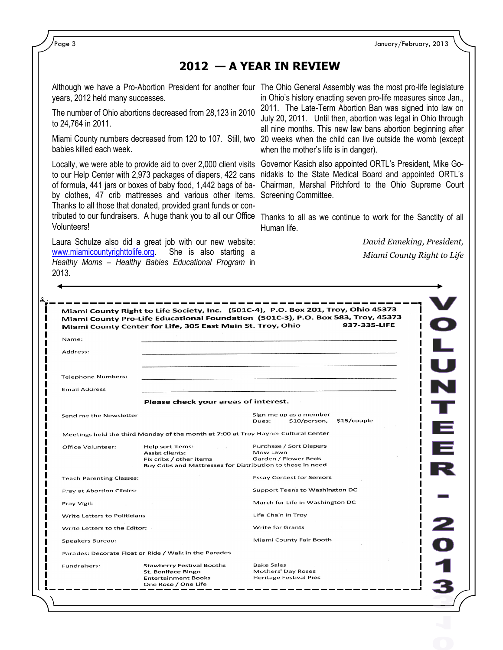Page 3 January/February, 2013

### **2012 — A YEAR IN REVIEW**

years, 2012 held many successes.

The number of Ohio abortions decreased from 28,123 in 2010 to 24,764 in 2011.

babies killed each week.

to our Help Center with 2,973 packages of diapers, 422 cans of formula, 441 jars or boxes of baby food, 1,442 bags of baby clothes, 47 crib mattresses and various other items. Screening Committee. Thanks to all those that donated, provided grant funds or contributed to our fundraisers. A huge thank you to all our Office Thanks to all as we continue to work for the Sanctity of all Volunteers!

Laura Schulze also did a great job with our new website: [www.miamicountyrighttolife.org.](http://www.miamicountyrighttolife.org) She is also starting a *Healthy Moms – Healthy Babies Educational Program* in 2013*.*

Although we have a Pro-Abortion President for another four The Ohio General Assembly was the most pro-life legislature Miami County numbers decreased from 120 to 107. Still, two 20 weeks when the child can live outside the womb (except in Ohio's history enacting seven pro-life measures since Jan., 2011. The Late-Term Abortion Ban was signed into law on July 20, 2011. Until then, abortion was legal in Ohio through all nine months. This new law bans abortion beginning after when the mother's life is in danger).

Locally, we were able to provide aid to over 2,000 client visits Governor Kasich also appointed ORTL's President, Mike Gonidakis to the State Medical Board and appointed ORTL's Chairman, Marshal Pitchford to the Ohio Supreme Court

Human life.

*David Enneking, President, Miami County Right to Life* 

|                                 | Miami County Center for Life, 305 East Main St. Troy, Ohio                                                                          | Miami County Pro-Life Educational Foundation (501C-3), P.O. Box 583, Troy, 45373<br>937-335-LIFE |        |
|---------------------------------|-------------------------------------------------------------------------------------------------------------------------------------|--------------------------------------------------------------------------------------------------|--------|
| Name:                           |                                                                                                                                     |                                                                                                  |        |
| Address:                        |                                                                                                                                     |                                                                                                  | L<br>U |
| <b>Telephone Numbers:</b>       |                                                                                                                                     |                                                                                                  |        |
| <b>Email Address</b>            |                                                                                                                                     |                                                                                                  |        |
|                                 | Please check your areas of interest.                                                                                                |                                                                                                  |        |
| Send me the Newsletter          |                                                                                                                                     | Sign me up as a member<br>\$15/couple<br>\$10/person,<br>Dues:                                   |        |
|                                 | Meetings held the third Monday of the month at 7:00 at Troy Hayner Cultural Center                                                  |                                                                                                  |        |
| Office Volunteer:               | Help sort items:<br><b>Assist clients:</b><br>Fix cribs / other items<br>Buy Cribs and Mattresses for Distribution to those in need | Purchase / Sort Diapers<br>Mow Lawn<br>Garden / Flower Beds                                      |        |
| <b>Teach Parenting Classes:</b> |                                                                                                                                     | <b>Essay Contest for Seniors</b>                                                                 |        |
| Pray at Abortion Clinics:       |                                                                                                                                     | Support Teens to Washington DC                                                                   |        |
| Pray Vigil:                     |                                                                                                                                     | March for Life in Washington DC                                                                  |        |
| Write Letters to Politicians    |                                                                                                                                     | Life Chain in Troy                                                                               |        |
| Write Letters to the Editor:    |                                                                                                                                     | <b>Write for Grants</b>                                                                          |        |
| Speakers Bureau:                |                                                                                                                                     | Miami County Fair Booth                                                                          |        |
|                                 | Parades: Decorate Float or Ride / Walk in the Parades                                                                               |                                                                                                  |        |
| Fundraisers:                    | <b>Stawberry Festival Booths</b><br>St. Boniface Bingo<br><b>Entertainment Books</b><br>One Rose / One Life                         | <b>Bake Sales</b><br>Mothers' Day Roses<br><b>Heritage Festival Pies</b>                         |        |